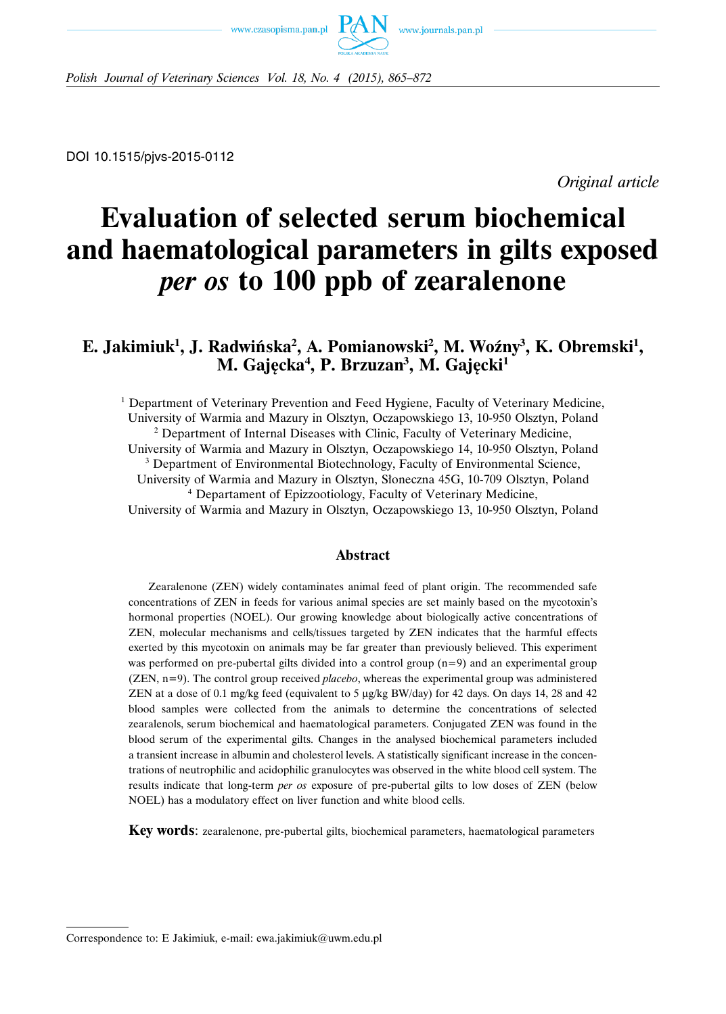



*Polish Journal of Veterinary Sciences Vol. 18, No. 4 (2015), 865–872*

DOI 10.1515/pjvs-2015-0112

*Original article*

# **Evaluation of selected serum biochemical and haematological parameters in gilts exposed** *per os* **to 100 ppb of zearalenone**

# E. Jakimiuk<sup>1</sup>, J. Radwińska<sup>2</sup>, A. Pomianowski<sup>2</sup>, M. Woźny<sup>3</sup>, K. Obremski<sup>1</sup>, **M. Gajęcka4 , P. Brzuzan3 , M. Gajęcki1**

<sup>1</sup> Department of Veterinary Prevention and Feed Hygiene, Faculty of Veterinary Medicine, University of Warmia and Mazury in Olsztyn, Oczapowskiego 13, 10-950 Olsztyn, Poland <sup>2</sup> Department of Internal Diseases with Clinic, Faculty of Veterinary Medicine,

University of Warmia and Mazury in Olsztyn, Oczapowskiego 14, 10-950 Olsztyn, Poland <sup>3</sup> Department of Environmental Biotechnology, Faculty of Environmental Science,

University of Warmia and Mazury in Olsztyn, Słoneczna 45G, 10-709 Olsztyn, Poland

<sup>4</sup> Departament of Epizzootiology, Faculty of Veterinary Medicine,

University of Warmia and Mazury in Olsztyn, Oczapowskiego 13, 10-950 Olsztyn, Poland

## **Abstract**

Zearalenone (ZEN) widely contaminates animal feed of plant origin. The recommended safe concentrations of ZEN in feeds for various animal species are set mainly based on the mycotoxin's hormonal properties (NOEL). Our growing knowledge about biologically active concentrations of ZEN, molecular mechanisms and cells/tissues targeted by ZEN indicates that the harmful effects exerted by this mycotoxin on animals may be far greater than previously believed. This experiment was performed on pre-pubertal gilts divided into a control group (n=9) and an experimental group (ZEN, n=9). The control group received *placebo*, whereas the experimental group was administered ZEN at a dose of 0.1 mg/kg feed (equivalent to 5 μg/kg BW/day) for 42 days. On days 14, 28 and 42 blood samples were collected from the animals to determine the concentrations of selected zearalenols, serum biochemical and haematological parameters. Conjugated ZEN was found in the blood serum of the experimental gilts. Changes in the analysed biochemical parameters included a transient increase in albumin and cholesterol levels. A statistically significant increase in the concentrations of neutrophilic and acidophilic granulocytes was observed in the white blood cell system. The results indicate that long-term *per os* exposure of pre-pubertal gilts to low doses of ZEN (below NOEL) has a modulatory effect on liver function and white blood cells.

**Key words**: zearalenone, pre-pubertal gilts, biochemical parameters, haematological parameters

Correspondence to: E Jakimiuk, e-mail: ewa.jakimiuk@uwm.edu.pl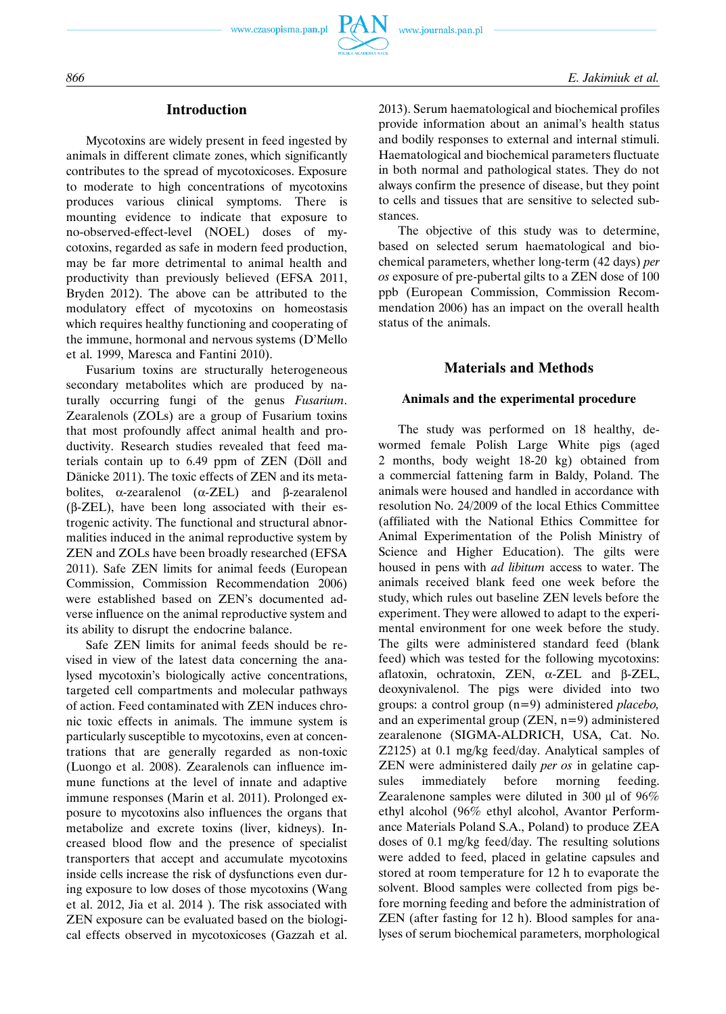



# **Introduction**

Mycotoxins are widely present in feed ingested by animals in different climate zones, which significantly contributes to the spread of mycotoxicoses. Exposure to moderate to high concentrations of mycotoxins produces various clinical symptoms. There is mounting evidence to indicate that exposure to no-observed-effect-level (NOEL) doses of mycotoxins, regarded as safe in modern feed production, may be far more detrimental to animal health and productivity than previously believed (EFSA 2011, Bryden 2012). The above can be attributed to the modulatory effect of mycotoxins on homeostasis which requires healthy functioning and cooperating of the immune, hormonal and nervous systems (D'Mello et al. 1999, Maresca and Fantini 2010).

Fusarium toxins are structurally heterogeneous secondary metabolites which are produced by naturally occurring fungi of the genus *Fusarium*. Zearalenols (ZOLs) are a group of Fusarium toxins that most profoundly affect animal health and productivity. Research studies revealed that feed materials contain up to  $6.49$  ppm of  $ZEN$  (Döll and Dänicke 2011). The toxic effects of ZEN and its metabolites, α-zearalenol ( $\alpha$ -ZEL) and β-zearalenol (β-ZEL), have been long associated with their estrogenic activity. The functional and structural abnormalities induced in the animal reproductive system by ZEN and ZOLs have been broadly researched (EFSA 2011). Safe ZEN limits for animal feeds (European Commission, Commission Recommendation 2006) were established based on ZEN's documented adverse influence on the animal reproductive system and its ability to disrupt the endocrine balance.

Safe ZEN limits for animal feeds should be revised in view of the latest data concerning the analysed mycotoxin's biologically active concentrations, targeted cell compartments and molecular pathways of action. Feed contaminated with ZEN induces chronic toxic effects in animals. The immune system is particularly susceptible to mycotoxins, even at concentrations that are generally regarded as non-toxic (Luongo et al. 2008). Zearalenols can influence immune functions at the level of innate and adaptive immune responses (Marin et al. 2011). Prolonged exposure to mycotoxins also influences the organs that metabolize and excrete toxins (liver, kidneys). Increased blood flow and the presence of specialist transporters that accept and accumulate mycotoxins inside cells increase the risk of dysfunctions even during exposure to low doses of those mycotoxins (Wang et al. 2012, Jia et al. 2014 ). The risk associated with ZEN exposure can be evaluated based on the biological effects observed in mycotoxicoses (Gazzah et al. 2013). Serum haematological and biochemical profiles provide information about an animal's health status and bodily responses to external and internal stimuli. Haematological and biochemical parameters fluctuate in both normal and pathological states. They do not always confirm the presence of disease, but they point to cells and tissues that are sensitive to selected substances.

The objective of this study was to determine, based on selected serum haematological and biochemical parameters, whether long-term (42 days) *per os* exposure of pre-pubertal gilts to a ZEN dose of 100 ppb (European Commission, Commission Recommendation 2006) has an impact on the overall health status of the animals.

# **Materials and Methods**

## **Animals and the experimental procedure**

The study was performed on 18 healthy, dewormed female Polish Large White pigs (aged 2 months, body weight 18-20 kg) obtained from a commercial fattening farm in Baldy, Poland. The animals were housed and handled in accordance with resolution No. 24/2009 of the local Ethics Committee (affiliated with the National Ethics Committee for Animal Experimentation of the Polish Ministry of Science and Higher Education). The gilts were housed in pens with *ad libitum* access to water. The animals received blank feed one week before the study, which rules out baseline ZEN levels before the experiment. They were allowed to adapt to the experimental environment for one week before the study. The gilts were administered standard feed (blank feed) which was tested for the following mycotoxins: aflatoxin, ochratoxin, ZEN, α-ZEL and β-ZEL, deoxynivalenol. The pigs were divided into two groups: a control group (n=9) administered *placebo,* and an experimental group (ZEN, n=9) administered zearalenone (SIGMA-ALDRICH, USA, Cat. No. Z2125) at 0.1 mg/kg feed/day. Analytical samples of ZEN were administered daily *per os* in gelatine capsules immediately before morning feeding. Zearalenone samples were diluted in 300 μl of 96% ethyl alcohol (96% ethyl alcohol, Avantor Performance Materials Poland S.A., Poland) to produce ZEA doses of 0.1 mg/kg feed/day. The resulting solutions were added to feed, placed in gelatine capsules and stored at room temperature for 12 h to evaporate the solvent. Blood samples were collected from pigs before morning feeding and before the administration of ZEN (after fasting for 12 h). Blood samples for analyses of serum biochemical parameters, morphological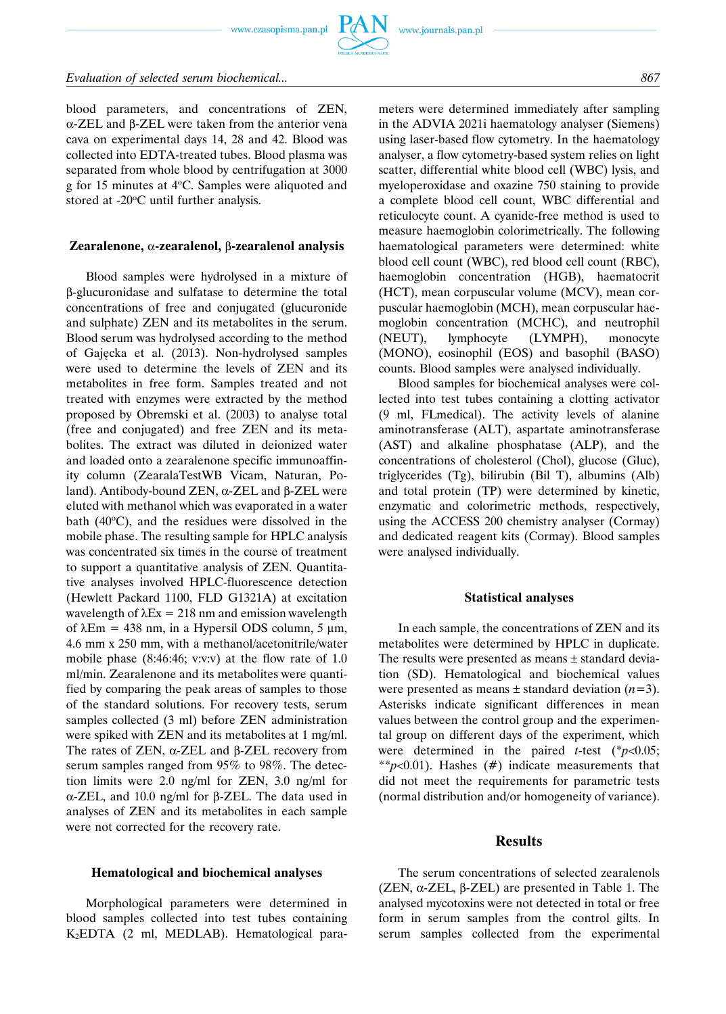

#### *Evaluation of selected serum biochemical... 867*

blood parameters, and concentrations of ZEN, α-ZEL and β-ZEL were taken from the anterior vena cava on experimental days 14, 28 and 42. Blood was collected into EDTA-treated tubes. Blood plasma was separated from whole blood by centrifugation at 3000 g for 15 minutes at 4°C. Samples were aliquoted and stored at  $-20^{\circ}$ C until further analysis.

#### **Zearalenone,** α**-zearalenol,** β**-zearalenol analysis**

Blood samples were hydrolysed in a mixture of β-glucuronidase and sulfatase to determine the total concentrations of free and conjugated (glucuronide and sulphate) ZEN and its metabolites in the serum. Blood serum was hydrolysed according to the method of Gajęcka et al. (2013). Non-hydrolysed samples were used to determine the levels of ZEN and its metabolites in free form. Samples treated and not treated with enzymes were extracted by the method proposed by Obremski et al. (2003) to analyse total (free and conjugated) and free ZEN and its metabolites. The extract was diluted in deionized water and loaded onto a zearalenone specific immunoaffinity column (ZearalaTestWB Vicam, Naturan, Poland). Antibody-bound ZEN, α-ZEL and β-ZEL were eluted with methanol which was evaporated in a water bath  $(40^{\circ}C)$ , and the residues were dissolved in the mobile phase. The resulting sample for HPLC analysis was concentrated six times in the course of treatment to support a quantitative analysis of ZEN. Quantitative analyses involved HPLC-fluorescence detection (Hewlett Packard 1100, FLD G1321A) at excitation wavelength of  $\lambda$ Ex = 218 nm and emission wavelength of λEm = 438 nm, in a Hypersil ODS column, 5 μm, 4.6 mm x 250 mm, with a methanol/acetonitrile/water mobile phase  $(8:46:46; v:v:v)$  at the flow rate of 1.0 ml/min. Zearalenone and its metabolites were quantified by comparing the peak areas of samples to those of the standard solutions. For recovery tests, serum samples collected (3 ml) before ZEN administration were spiked with ZEN and its metabolites at 1 mg/ml. The rates of ZEN, α-ZEL and β-ZEL recovery from serum samples ranged from 95% to 98%. The detection limits were 2.0 ng/ml for ZEN, 3.0 ng/ml for α-ZEL, and 10.0 ng/ml for β-ZEL. The data used in analyses of ZEN and its metabolites in each sample were not corrected for the recovery rate.

#### **Hematological and biochemical analyses**

Morphological parameters were determined in blood samples collected into test tubes containing K2EDTA (2 ml, MEDLAB). Hematological parameters were determined immediately after sampling in the ADVIA 2021i haematology analyser (Siemens) using laser-based flow cytometry. In the haematology analyser, a flow cytometry-based system relies on light scatter, differential white blood cell (WBC) lysis, and myeloperoxidase and oxazine 750 staining to provide a complete blood cell count, WBC differential and reticulocyte count. A cyanide-free method is used to measure haemoglobin colorimetrically. The following haematological parameters were determined: white blood cell count (WBC), red blood cell count (RBC), haemoglobin concentration (HGB), haematocrit (HCT), mean corpuscular volume (MCV), mean corpuscular haemoglobin (MCH), mean corpuscular haemoglobin concentration (MCHC), and neutrophil (NEUT), lymphocyte (LYMPH), monocyte (MONO), eosinophil (EOS) and basophil (BASO) counts. Blood samples were analysed individually.

Blood samples for biochemical analyses were collected into test tubes containing a clotting activator (9 ml, FLmedical). The activity levels of alanine aminotransferase (ALT), aspartate aminotransferase (AST) and alkaline phosphatase (ALP), and the concentrations of cholesterol (Chol), glucose (Gluc), triglycerides (Tg), bilirubin (Bil T), albumins (Alb) and total protein (TP) were determined by kinetic, enzymatic and colorimetric methods, respectively, using the ACCESS 200 chemistry analyser (Cormay) and dedicated reagent kits (Cormay). Blood samples were analysed individually.

#### **Statistical analyses**

In each sample, the concentrations of ZEN and its metabolites were determined by HPLC in duplicate. The results were presented as means ± standard deviation (SD). Hematological and biochemical values were presented as means  $\pm$  standard deviation ( $n=3$ ). Asterisks indicate significant differences in mean values between the control group and the experimental group on different days of the experiment, which were determined in the paired *t*-test (\**p*<0.05; \*\**p*<0.01). Hashes (#) indicate measurements that did not meet the requirements for parametric tests (normal distribution and/or homogeneity of variance).

#### **Results**

The serum concentrations of selected zearalenols (ZEN, α-ZEL, β-ZEL) are presented in Table 1. The analysed mycotoxins were not detected in total or free form in serum samples from the control gilts. In serum samples collected from the experimental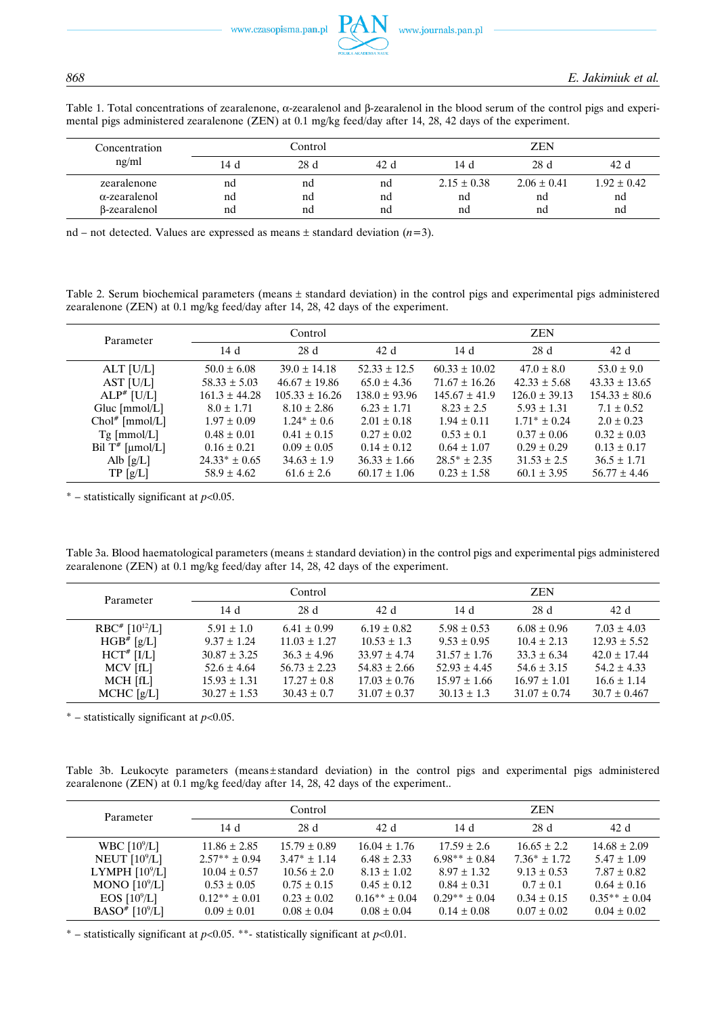Table 1. Total concentrations of zearalenone, α-zearalenol and β-zearalenol in the blood serum of the control pigs and experimental pigs administered zearalenone (ZEN) at 0.1 mg/kg feed/day after 14, 28, 42 days of the experiment.

| Concentration        | Control |     |      | ZEN             |                 |                 |
|----------------------|---------|-----|------|-----------------|-----------------|-----------------|
| ng/ml                | 14d     | 28d | 42 d | 14 d            | 28d             | 42 d            |
| zearalenone          | nd      | nd  | nd   | $2.15 \pm 0.38$ | $2.06 \pm 0.41$ | $1.92 \pm 0.42$ |
| $\alpha$ -zearalenol | nd      | nd  | nd   | nd              | nd              | nd              |
| <b>B-zearalenol</b>  | nd      | nd  | nd   | nd              | nd              | nd              |

nd – not detected. Values are expressed as means ± standard deviation (*n*=3).

Table 2. Serum biochemical parameters (means ± standard deviation) in the control pigs and experimental pigs administered zearalenone (ZEN) at 0.1 mg/kg feed/day after 14, 28, 42 days of the experiment.

| Parameter          | Control           |                    |                   | <b>ZEN</b>        |                   |                   |
|--------------------|-------------------|--------------------|-------------------|-------------------|-------------------|-------------------|
|                    | 14d               | 28d                | 42d               | 14d               | 28d               | 42d               |
| $ALT$ [U/L]        | $50.0 \pm 6.08$   | $39.0 \pm 14.18$   | $52.33 \pm 12.5$  | $60.33 \pm 10.02$ | $47.0 \pm 8.0$    | $53.0 \pm 9.0$    |
| AST [U/L]          | $58.33 \pm 5.03$  | $46.67 \pm 19.86$  | $65.0 \pm 4.36$   | $71.67 \pm 16.26$ | $42.33 \pm 5.68$  | $43.33 \pm 13.65$ |
| $ALP^*$ [U/L]      | $161.3 \pm 44.28$ | $105.33 \pm 16.26$ | $138.0 \pm 93.96$ | $145.67 \pm 41.9$ | $126.0 \pm 39.13$ | $154.33 \pm 80.6$ |
| Gluc $[mmol/L]$    | $8.0 \pm 1.71$    | $8.10 \pm 2.86$    | $6.23 \pm 1.71$   | $8.23 \pm 2.5$    | $5.93 \pm 1.31$   | $7.1 \pm 0.52$    |
| $Chol^*$ [mmol/L]  | $1.97 \pm 0.09$   | $1.24* \pm 0.6$    | $2.01 \pm 0.18$   | $1.94 \pm 0.11$   | $1.71^* \pm 0.24$ | $2.0 \pm 0.23$    |
| $Tg$ [mmol/L]      | $0.48 \pm 0.01$   | $0.41 \pm 0.15$    | $0.27 \pm 0.02$   | $0.53 \pm 0.1$    | $0.37 \pm 0.06$   | $0.32 \pm 0.03$   |
| Bil $T^*$ [µmol/L] | $0.16 \pm 0.21$   | $0.09 \pm 0.05$    | $0.14 \pm 0.12$   | $0.64 \pm 1.07$   | $0.29 \pm 0.29$   | $0.13 \pm 0.17$   |
| Alb $[g/L]$        | $24.33* \pm 0.65$ | $34.63 \pm 1.9$    | $36.33 \pm 1.66$  | $28.5* \pm 2.35$  | $31.53 \pm 2.5$   | $36.5 \pm 1.71$   |
| TP[g/L]            | $58.9 \pm 4.62$   | $61.6 \pm 2.6$     | $60.17 \pm 1.06$  | $0.23 \pm 1.58$   | $60.1 \pm 3.95$   | $56.77 \pm 4.46$  |

\* – statistically significant at *p*<0.05.

Table 3a. Blood haematological parameters (means ± standard deviation) in the control pigs and experimental pigs administered zearalenone (ZEN) at 0.1 mg/kg feed/day after 14, 28, 42 days of the experiment.

| Parameter                        | Control          |                  |                  | <b>ZEN</b>       |                  |                  |
|----------------------------------|------------------|------------------|------------------|------------------|------------------|------------------|
|                                  | 14d              | 28d              | 42 d             | 14d              | 28d              | 42 d             |
| $RBC^{\#}$ [10 <sup>12</sup> /L] | $5.91 \pm 1.0$   | $6.41 \pm 0.99$  | $6.19 \pm 0.82$  | $5.98 \pm 0.53$  | $6.08 \pm 0.96$  | $7.03 \pm 4.03$  |
| $HGB^*$ [g/L]                    | $9.37 \pm 1.24$  | $11.03 \pm 1.27$ | $10.53 \pm 1.3$  | $9.53 \pm 0.95$  | $10.4 \pm 2.13$  | $12.93 \pm 5.52$ |
| $HCT^*$ [I/L]                    | $30.87 \pm 3.25$ | $36.3 \pm 4.96$  | $33.97 \pm 4.74$ | $31.57 \pm 1.76$ | $33.3 \pm 6.34$  | $42.0 \pm 17.44$ |
| MCV [fL]                         | $52.6 \pm 4.64$  | $56.73 \pm 2.23$ | $54.83 \pm 2.66$ | $52.93 \pm 4.45$ | $54.6 \pm 3.15$  | $54.2 \pm 4.33$  |
| MCH [fL]                         | $15.93 \pm 1.31$ | $17.27 \pm 0.8$  | $17.03 \pm 0.76$ | $15.97 \pm 1.66$ | $16.97 \pm 1.01$ | $16.6 \pm 1.14$  |
| $MCHC$ [g/L]                     | $30.27 \pm 1.53$ | $30.43 \pm 0.7$  | $31.07 \pm 0.37$ | $30.13 \pm 1.3$  | $31.07 \pm 0.74$ | $30.7 \pm 0.467$ |

\* – statistically significant at *p*<0.05.

Table 3b. Leukocyte parameters (means ± standard deviation) in the control pigs and experimental pigs administered zearalenone (ZEN) at 0.1 mg/kg feed/day after 14, 28, 42 days of the experiment..

| Parameter                    | Control           |                  |                   | <b>ZEN</b>        |                 |                   |
|------------------------------|-------------------|------------------|-------------------|-------------------|-----------------|-------------------|
|                              | 14d               | 28d              | 42 d              | 14 d              | 28d             | 42 d              |
| WBC $[10^9/L]$               | $11.86 \pm 2.85$  | $15.79 \pm 0.89$ | $16.04 \pm 1.76$  | $17.59 \pm 2.6$   | $16.65 \pm 2.2$ | $14.68 \pm 2.09$  |
| NEUT $[10^9/L]$              | $2.57** \pm 0.94$ | $3.47* \pm 1.14$ | $6.48 \pm 2.33$   | $6.98** + 0.84$   | $7.36* + 1.72$  | $5.47 \pm 1.09$   |
| LYMPH $[10^9/L]$             | $10.04 \pm 0.57$  | $10.56 \pm 2.0$  | $8.13 \pm 1.02$   | $8.97 \pm 1.32$   | $9.13 \pm 0.53$ | $7.87 \pm 0.82$   |
| MONO $[10^9/L]$              | $0.53 \pm 0.05$   | $0.75 \pm 0.15$  | $0.45 \pm 0.12$   | $0.84 \pm 0.31$   | $0.7 \pm 0.1$   | $0.64 \pm 0.16$   |
| EOS $[10^9/L]$               | $0.12** \pm 0.01$ | $0.23 \pm 0.02$  | $0.16** \pm 0.04$ | $0.29** \pm 0.04$ | $0.34 \pm 0.15$ | $0.35** \pm 0.04$ |
| BASO <sup>#</sup> $[10^9/L]$ | $0.09 \pm 0.01$   | $0.08 \pm 0.04$  | $0.08 \pm 0.04$   | $0.14 \pm 0.08$   | $0.07 \pm 0.02$ | $0.04 \pm 0.02$   |

\* – statistically significant at *p*<0.05. \*\*- statistically significant at *p*<0.01.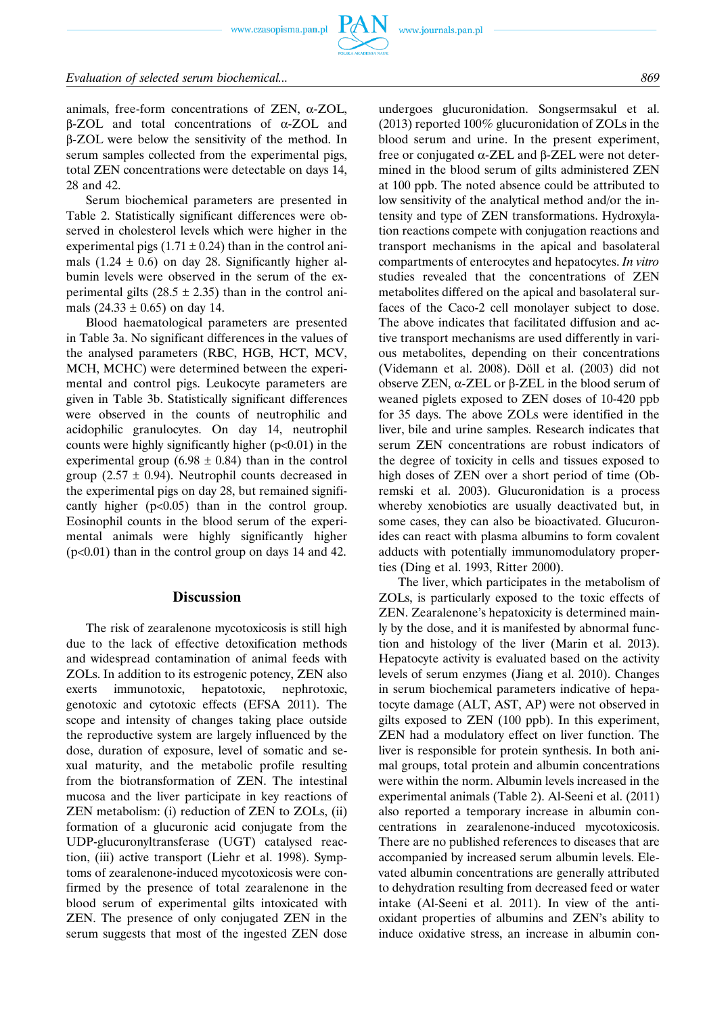animals, free-form concentrations of ZEN, α-ZOL, β-ZOL and total concentrations of α-ZOL and

β-ZOL were below the sensitivity of the method. In serum samples collected from the experimental pigs, total ZEN concentrations were detectable on days 14, 28 and 42.

Serum biochemical parameters are presented in Table 2. Statistically significant differences were observed in cholesterol levels which were higher in the experimental pigs (1.71  $\pm$  0.24) than in the control animals  $(1.24 \pm 0.6)$  on day 28. Significantly higher albumin levels were observed in the serum of the experimental gilts  $(28.5 \pm 2.35)$  than in the control animals  $(24.33 \pm 0.65)$  on day 14.

Blood haematological parameters are presented in Table 3a. No significant differences in the values of the analysed parameters (RBC, HGB, HCT, MCV, MCH, MCHC) were determined between the experimental and control pigs. Leukocyte parameters are given in Table 3b. Statistically significant differences were observed in the counts of neutrophilic and acidophilic granulocytes. On day 14, neutrophil counts were highly significantly higher  $(p<0.01)$  in the experimental group (6.98  $\pm$  0.84) than in the control group (2.57  $\pm$  0.94). Neutrophil counts decreased in the experimental pigs on day 28, but remained significantly higher  $(p<0.05)$  than in the control group. Eosinophil counts in the blood serum of the experimental animals were highly significantly higher (p<0.01) than in the control group on days 14 and 42.

# **Discussion**

The risk of zearalenone mycotoxicosis is still high due to the lack of effective detoxification methods and widespread contamination of animal feeds with ZOLs. In addition to its estrogenic potency, ZEN also exerts immunotoxic, hepatotoxic, nephrotoxic, genotoxic and cytotoxic effects (EFSA 2011). The scope and intensity of changes taking place outside the reproductive system are largely influenced by the dose, duration of exposure, level of somatic and sexual maturity, and the metabolic profile resulting from the biotransformation of ZEN. The intestinal mucosa and the liver participate in key reactions of ZEN metabolism: (i) reduction of ZEN to ZOLs, (ii) formation of a glucuronic acid conjugate from the UDP-glucuronyltransferase (UGT) catalysed reaction, (iii) active transport (Liehr et al. 1998). Symptoms of zearalenone-induced mycotoxicosis were confirmed by the presence of total zearalenone in the blood serum of experimental gilts intoxicated with ZEN. The presence of only conjugated ZEN in the serum suggests that most of the ingested ZEN dose undergoes glucuronidation. Songsermsakul et al. (2013) reported 100% glucuronidation of ZOLs in the blood serum and urine. In the present experiment, free or conjugated α-ZEL and β-ZEL were not determined in the blood serum of gilts administered ZEN at 100 ppb. The noted absence could be attributed to low sensitivity of the analytical method and/or the intensity and type of ZEN transformations. Hydroxylation reactions compete with conjugation reactions and transport mechanisms in the apical and basolateral compartments of enterocytes and hepatocytes. *In vitro* studies revealed that the concentrations of ZEN metabolites differed on the apical and basolateral surfaces of the Caco-2 cell monolayer subject to dose. The above indicates that facilitated diffusion and active transport mechanisms are used differently in various metabolites, depending on their concentrations (Videmann et al. 2008). Döll et al. (2003) did not observe ZEN, α-ZEL or β-ZEL in the blood serum of weaned piglets exposed to ZEN doses of 10-420 ppb for 35 days. The above ZOLs were identified in the liver, bile and urine samples. Research indicates that serum ZEN concentrations are robust indicators of the degree of toxicity in cells and tissues exposed to high doses of ZEN over a short period of time (Obremski et al. 2003). Glucuronidation is a process whereby xenobiotics are usually deactivated but, in some cases, they can also be bioactivated. Glucuronides can react with plasma albumins to form covalent adducts with potentially immunomodulatory properties (Ding et al. 1993, Ritter 2000).

The liver, which participates in the metabolism of ZOLs, is particularly exposed to the toxic effects of ZEN. Zearalenone's hepatoxicity is determined mainly by the dose, and it is manifested by abnormal function and histology of the liver (Marin et al. 2013). Hepatocyte activity is evaluated based on the activity levels of serum enzymes (Jiang et al. 2010). Changes in serum biochemical parameters indicative of hepatocyte damage (ALT, AST, AP) were not observed in gilts exposed to ZEN (100 ppb). In this experiment, ZEN had a modulatory effect on liver function. The liver is responsible for protein synthesis. In both animal groups, total protein and albumin concentrations were within the norm. Albumin levels increased in the experimental animals (Table 2). Al-Seeni et al. (2011) also reported a temporary increase in albumin concentrations in zearalenone-induced mycotoxicosis. There are no published references to diseases that are accompanied by increased serum albumin levels. Elevated albumin concentrations are generally attributed to dehydration resulting from decreased feed or water intake (Al-Seeni et al. 2011). In view of the antioxidant properties of albumins and ZEN's ability to induce oxidative stress, an increase in albumin con-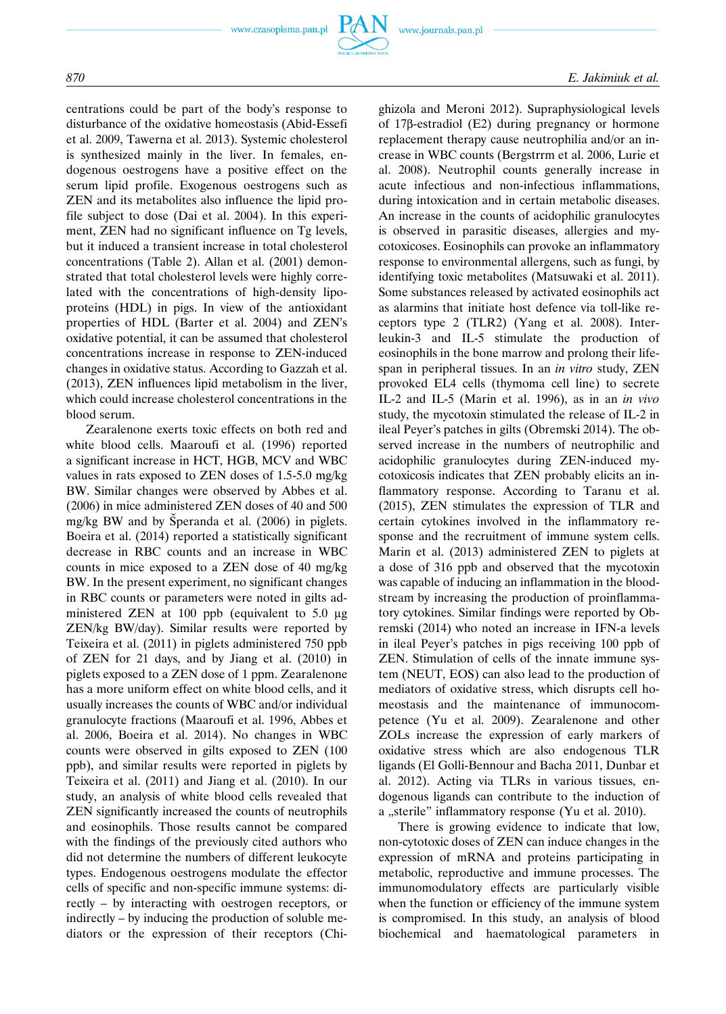

centrations could be part of the body's response to disturbance of the oxidative homeostasis (Abid-Essefi et al. 2009, Tawerna et al. 2013). Systemic cholesterol is synthesized mainly in the liver. In females, endogenous oestrogens have a positive effect on the serum lipid profile. Exogenous oestrogens such as ZEN and its metabolites also influence the lipid profile subject to dose (Dai et al. 2004). In this experiment, ZEN had no significant influence on Tg levels, but it induced a transient increase in total cholesterol concentrations (Table 2). Allan et al. (2001) demonstrated that total cholesterol levels were highly correlated with the concentrations of high-density lipoproteins (HDL) in pigs. In view of the antioxidant properties of HDL (Barter et al. 2004) and ZEN's oxidative potential, it can be assumed that cholesterol concentrations increase in response to ZEN-induced changes in oxidative status. According to Gazzah et al. (2013), ZEN influences lipid metabolism in the liver, which could increase cholesterol concentrations in the blood serum.

Zearalenone exerts toxic effects on both red and white blood cells. Maaroufi et al. (1996) reported a significant increase in HCT, HGB, MCV and WBC values in rats exposed to ZEN doses of 1.5-5.0 mg/kg BW. Similar changes were observed by Abbes et al. (2006) in mice administered ZEN doses of 40 and 500 mg/kg BW and by Šperanda et al.  $(2006)$  in piglets. Boeira et al. (2014) reported a statistically significant decrease in RBC counts and an increase in WBC counts in mice exposed to a ZEN dose of 40 mg/kg BW. In the present experiment, no significant changes in RBC counts or parameters were noted in gilts administered ZEN at 100 ppb (equivalent to 5.0 μg ZEN/kg BW/day). Similar results were reported by Teixeira et al. (2011) in piglets administered 750 ppb of ZEN for 21 days, and by Jiang et al. (2010) in piglets exposed to a ZEN dose of 1 ppm. Zearalenone has a more uniform effect on white blood cells, and it usually increases the counts of WBC and/or individual granulocyte fractions (Maaroufi et al. 1996, Abbes et al. 2006, Boeira et al. 2014). No changes in WBC counts were observed in gilts exposed to ZEN (100 ppb), and similar results were reported in piglets by Teixeira et al. (2011) and Jiang et al. (2010). In our study, an analysis of white blood cells revealed that ZEN significantly increased the counts of neutrophils and eosinophils. Those results cannot be compared with the findings of the previously cited authors who did not determine the numbers of different leukocyte types. Endogenous oestrogens modulate the effector cells of specific and non-specific immune systems: directly – by interacting with oestrogen receptors, or indirectly – by inducing the production of soluble mediators or the expression of their receptors (Chighizola and Meroni 2012). Supraphysiological levels of 17β-estradiol (E2) during pregnancy or hormone replacement therapy cause neutrophilia and/or an increase in WBC counts (Bergstrrm et al. 2006, Lurie et al. 2008). Neutrophil counts generally increase in acute infectious and non-infectious inflammations, during intoxication and in certain metabolic diseases. An increase in the counts of acidophilic granulocytes is observed in parasitic diseases, allergies and mycotoxicoses. Eosinophils can provoke an inflammatory response to environmental allergens, such as fungi, by identifying toxic metabolites (Matsuwaki et al. 2011). Some substances released by activated eosinophils act as alarmins that initiate host defence via toll-like receptors type 2 (TLR2) (Yang et al. 2008). Interleukin-3 and IL-5 stimulate the production of eosinophils in the bone marrow and prolong their lifespan in peripheral tissues. In an *in vitro* study, ZEN provoked EL4 cells (thymoma cell line) to secrete IL-2 and IL-5 (Marin et al. 1996), as in an *in vivo* study, the mycotoxin stimulated the release of IL-2 in ileal Peyer's patches in gilts (Obremski 2014). The observed increase in the numbers of neutrophilic and acidophilic granulocytes during ZEN-induced mycotoxicosis indicates that ZEN probably elicits an inflammatory response. According to Taranu et al. (2015), ZEN stimulates the expression of TLR and certain cytokines involved in the inflammatory response and the recruitment of immune system cells. Marin et al. (2013) administered ZEN to piglets at a dose of 316 ppb and observed that the mycotoxin was capable of inducing an inflammation in the bloodstream by increasing the production of proinflammatory cytokines. Similar findings were reported by Obremski (2014) who noted an increase in IFN-a levels in ileal Peyer's patches in pigs receiving 100 ppb of ZEN. Stimulation of cells of the innate immune system (NEUT, EOS) can also lead to the production of mediators of oxidative stress, which disrupts cell homeostasis and the maintenance of immunocompetence (Yu et al. 2009). Zearalenone and other ZOLs increase the expression of early markers of oxidative stress which are also endogenous TLR ligands (El Golli-Bennour and Bacha 2011, Dunbar et al. 2012). Acting via TLRs in various tissues, endogenous ligands can contribute to the induction of a "sterile" inflammatory response (Yu et al. 2010).

There is growing evidence to indicate that low, non-cytotoxic doses of ZEN can induce changes in the expression of mRNA and proteins participating in metabolic, reproductive and immune processes. The immunomodulatory effects are particularly visible when the function or efficiency of the immune system is compromised. In this study, an analysis of blood biochemical and haematological parameters in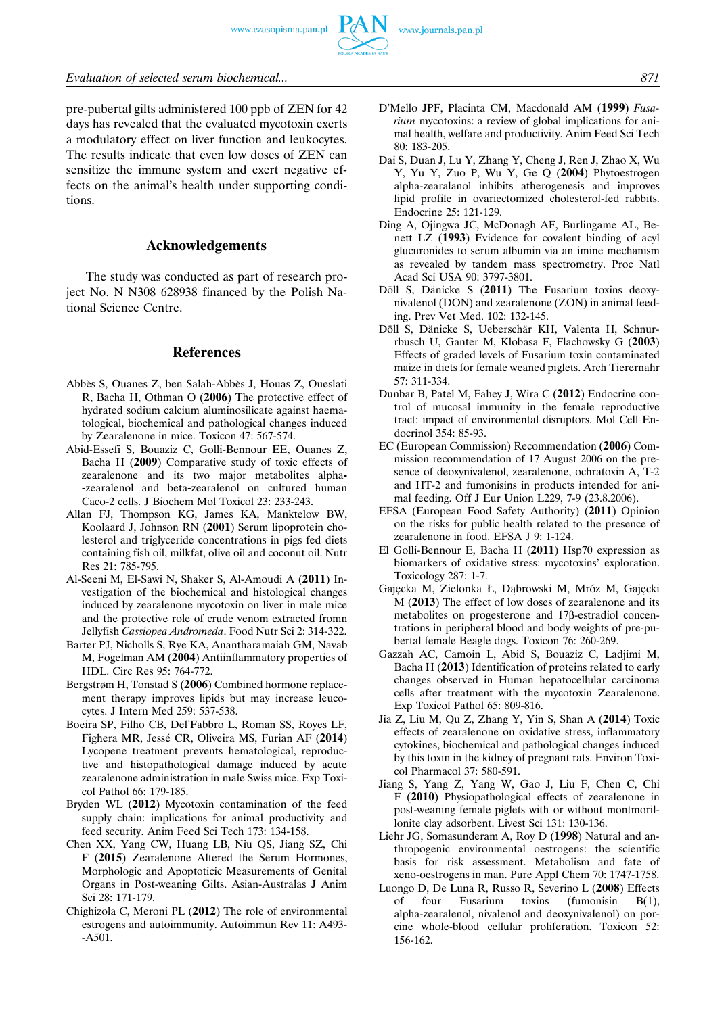

pre-pubertal gilts administered 100 ppb of ZEN for 42 days has revealed that the evaluated mycotoxin exerts a modulatory effect on liver function and leukocytes. The results indicate that even low doses of ZEN can sensitize the immune system and exert negative effects on the animal's health under supporting conditions.

# **Acknowledgements**

The study was conducted as part of research project No. N N308 628938 financed by the Polish National Science Centre.

#### **References**

- Abbès S, Ouanes Z, ben Salah-Abbès J, Houas Z, Oueslati R, Bacha H, Othman O (**2006**) The protective effect of hydrated sodium calcium aluminosilicate against haematological, biochemical and pathological changes induced by Zearalenone in mice. Toxicon 47: 567-574.
- Abid-Essefi S, Bouaziz C, Golli-Bennour EE, Ouanes Z, Bacha H (**2009**) Comparative study of toxic effects of zearalenone and its two major metabolites alpha**- -**zearalenol and beta**-**zearalenol on cultured human Caco-2 cells. J Biochem Mol Toxicol 23: 233-243.
- Allan FJ, Thompson KG, James KA, Manktelow BW, Koolaard J, Johnson RN (**2001**) Serum lipoprotein cholesterol and triglyceride concentrations in pigs fed diets containing fish oil, milkfat, olive oil and coconut oil. Nutr Res 21: 785-795.
- Al-Seeni M, El-Sawi N, Shaker S, Al-Amoudi A (**2011**) Investigation of the biochemical and histological changes induced by zearalenone mycotoxin on liver in male mice and the protective role of crude venom extracted fromn Jellyfish *Cassiopea Andromeda*. Food Nutr Sci 2: 314-322.
- Barter PJ, Nicholls S, Rye KA, Anantharamaiah GM, Navab M, Fogelman AM (**2004**) Antiinflammatory properties of HDL. Circ Res 95: 764-772.
- Bergstrøm H, Tonstad S (**2006**) Combined hormone replacement therapy improves lipids but may increase leucocytes. J Intern Med 259: 537-538.
- Boeira SP, Filho CB, Del'Fabbro L, Roman SS, Royes LF, Fighera MR, Jesse´ CR, Oliveira MS, Furian AF (**2014**) Lycopene treatment prevents hematological, reproductive and histopathological damage induced by acute zearalenone administration in male Swiss mice. Exp Toxicol Pathol 66: 179-185.
- Bryden WL (**2012**) Mycotoxin contamination of the feed supply chain: implications for animal productivity and feed security. Anim Feed Sci Tech 173: 134-158.
- Chen XX, Yang CW, Huang LB, Niu QS, Jiang SZ, Chi F (**2015**) Zearalenone Altered the Serum Hormones, Morphologic and Apoptoticic Measurements of Genital Organs in Post-weaning Gilts. Asian-Australas J Anim Sci 28: 171-179.
- Chighizola C, Meroni PL (**2012**) The role of environmental estrogens and autoimmunity. Autoimmun Rev 11: A493- -A501.
- D'Mello JPF, Placinta CM, Macdonald AM (**1999**) *Fusarium* mycotoxins: a review of global implications for animal health, welfare and productivity. Anim Feed Sci Tech 80: 183-205.
- Dai S, Duan J, Lu Y, Zhang Y, Cheng J, Ren J, Zhao X, Wu Y, Yu Y, Zuo P, Wu Y, Ge Q (**2004**) Phytoestrogen alpha-zearalanol inhibits atherogenesis and improves lipid profile in ovariectomized cholesterol-fed rabbits. Endocrine 25: 121-129.
- Ding A, Ojingwa JC, McDonagh AF, Burlingame AL, Benett LZ (**1993**) Evidence for covalent binding of acyl glucuronides to serum albumin via an imine mechanism as revealed by tandem mass spectrometry. Proc Natl Acad Sci USA 90: 3797-3801.
- Döll S, Dänicke S (2011) The Fusarium toxins deoxynivalenol (DON) and zearalenone (ZON) in animal feeding. Prev Vet Med. 102: 132-145.
- Döll S, Dänicke S, Ueberschär KH, Valenta H, Schnurrbusch U, Ganter M, Klobasa F, Flachowsky G (**2003**) Effects of graded levels of Fusarium toxin contaminated maize in diets for female weaned piglets. Arch Tierernahr 57: 311-334.
- Dunbar B, Patel M, Fahey J, Wira C (**2012**) Endocrine control of mucosal immunity in the female reproductive tract: impact of environmental disruptors. Mol Cell Endocrinol 354: 85-93.
- EC (European Commission) Recommendation (**2006**) Commission recommendation of 17 August 2006 on the presence of deoxynivalenol, zearalenone, ochratoxin A, T-2 and HT-2 and fumonisins in products intended for animal feeding. Off J Eur Union L229, 7-9 (23.8.2006).
- EFSA (European Food Safety Authority) (**2011**) Opinion on the risks for public health related to the presence of zearalenone in food. EFSA J 9: 1-124.
- El Golli-Bennour E, Bacha H (**2011**) Hsp70 expression as biomarkers of oxidative stress: mycotoxins' exploration. Toxicology 287: 1-7.
- Gajęcka M, Zielonka Ł, Dąbrowski M, Mróz M, Gajęcki M (**2013**) The effect of low doses of zearalenone and its metabolites on progesterone and 17β-estradiol concentrations in peripheral blood and body weights of pre-pubertal female Beagle dogs. Toxicon 76: 260-269.
- Gazzah AC, Camoin L, Abid S, Bouaziz C, Ladjimi M, Bacha H (**2013**) Identification of proteins related to early changes observed in Human hepatocellular carcinoma cells after treatment with the mycotoxin Zearalenone. Exp Toxicol Pathol 65: 809-816.
- Jia Z, Liu M, Qu Z, Zhang Y, Yin S, Shan A (**2014**) Toxic effects of zearalenone on oxidative stress, inflammatory cytokines, biochemical and pathological changes induced by this toxin in the kidney of pregnant rats. Environ Toxicol Pharmacol 37: 580-591.
- Jiang S, Yang Z, Yang W, Gao J, Liu F, Chen C, Chi F (**2010**) Physiopathological effects of zearalenone in post-weaning female piglets with or without montmorillonite clay adsorbent. Livest Sci 131: 130-136.
- Liehr JG, Somasunderam A, Roy D (**1998**) Natural and anthropogenic environmental oestrogens: the scientific basis for risk assessment. Metabolism and fate of xeno-oestrogens in man. Pure Appl Chem 70: 1747-1758.
- Luongo D, De Luna R, Russo R, Severino L (**2008**) Effects of four Fusarium toxins (fumonisin B(1), alpha-zearalenol, nivalenol and deoxynivalenol) on porcine whole-blood cellular proliferation. Toxicon 52: 156-162.